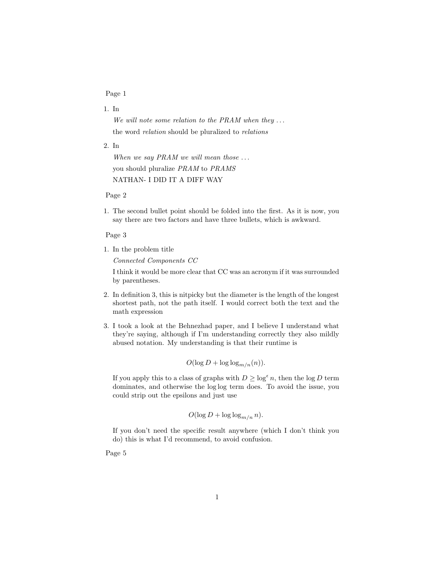## Page 1

## 1. In

We will note some relation to the PRAM when they  $\dots$ the word relation should be pluralized to relations

2. In

When we say PRAM we will mean those  $\dots$ you should pluralize PRAM to PRAMS NATHAN- I DID IT A DIFF WAY

Page 2

1. The second bullet point should be folded into the first. As it is now, you say there are two factors and have three bullets, which is awkward.

## Page 3

1. In the problem title

Connected Components CC

I think it would be more clear that CC was an acronym if it was surrounded by parentheses.

- 2. In definition 3, this is nitpicky but the diameter is the length of the longest shortest path, not the path itself. I would correct both the text and the math expression
- 3. I took a look at the Behnezhad paper, and I believe I understand what they're saying, although if I'm understanding correctly they also mildly abused notation. My understanding is that their runtime is

$$
O(\log D + \log \log_{m/n}(n)).
$$

If you apply this to a class of graphs with  $D \geq \log^{\epsilon} n$ , then the  $\log D$  term dominates, and otherwise the log log term does. To avoid the issue, you could strip out the epsilons and just use

$$
O(\log D + \log \log_{m/n} n).
$$

If you don't need the specific result anywhere (which I don't think you do) this is what I'd recommend, to avoid confusion.

Page 5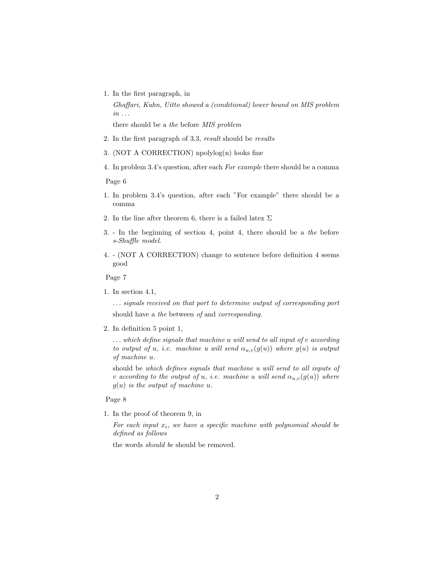1. In the first paragraph, in

Ghaffari, Kuhn, Uitto showed a (conditional) lower bound on MIS problem  $in \ldots$ there should be a the before MIS problem

2. In the first paragraph of 3.3, result should be results

- 3. (NOT A CORRECTION) npolylog(n) looks fine
- 4. In problem 3.4's question, after each For example there should be a comma

Page 6

- 1. In problem 3.4's question, after each "For example" there should be a comma
- 2. In the line after theorem 6, there is a failed latex  $\Sigma$
- 3. In the beginning of section 4, point 4, there should be a the before s-Shuffle model.
- 4. (NOT A CORRECTION) change to sentence before definition 4 seems good

Page 7

1. In section 4.1,

. . . signals received on that port to determine output of corresponding port should have a the between of and corresponding.

2. In definition 5 point 1,

 $\ldots$  which define signals that machine u will send to all input of v according to output of u, i.e. machine u will send  $\alpha_{u,v}(g(u))$  where  $g(u)$  is output of machine u.

should be which defines signals that machine u will send to all inputs of v according to the output of u, i.e. machine u will send  $\alpha_{u,v}(g(u))$  where  $g(u)$  is the output of machine u.

Page 8

1. In the proof of theorem 9, in

For each input  $x_i$ , we have a specific machine with polynomial should be defined as follows

the words should be should be removed.